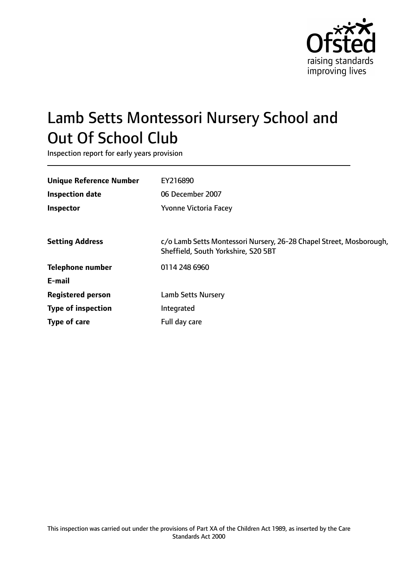

# Lamb Setts Montessori Nursery School and Out Of School Club

Inspection report for early years provision

| <b>Unique Reference Number</b> | EY216890                                                                                                   |
|--------------------------------|------------------------------------------------------------------------------------------------------------|
| <b>Inspection date</b>         | 06 December 2007                                                                                           |
| <b>Inspector</b>               | Yvonne Victoria Facey                                                                                      |
|                                |                                                                                                            |
| <b>Setting Address</b>         | c/o Lamb Setts Montessori Nursery, 26-28 Chapel Street, Mosborough,<br>Sheffield, South Yorkshire, S20 5BT |
| <b>Telephone number</b>        | 0114 248 6960                                                                                              |
| E-mail                         |                                                                                                            |
| <b>Registered person</b>       | <b>Lamb Setts Nursery</b>                                                                                  |
| <b>Type of inspection</b>      | Integrated                                                                                                 |
| Type of care                   | Full day care                                                                                              |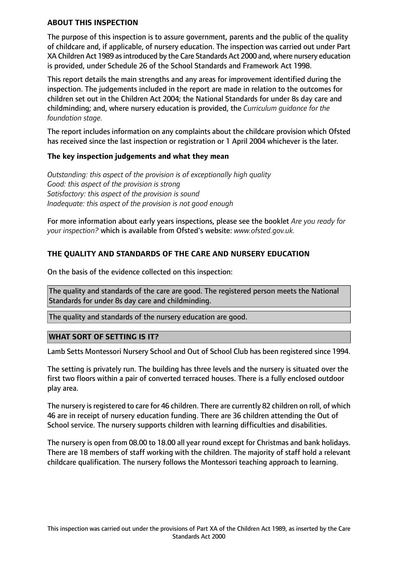#### **ABOUT THIS INSPECTION**

The purpose of this inspection is to assure government, parents and the public of the quality of childcare and, if applicable, of nursery education. The inspection was carried out under Part XA Children Act 1989 as introduced by the Care Standards Act 2000 and, where nursery education is provided, under Schedule 26 of the School Standards and Framework Act 1998.

This report details the main strengths and any areas for improvement identified during the inspection. The judgements included in the report are made in relation to the outcomes for children set out in the Children Act 2004; the National Standards for under 8s day care and childminding; and, where nursery education is provided, the *Curriculum guidance for the foundation stage.*

The report includes information on any complaints about the childcare provision which Ofsted has received since the last inspection or registration or 1 April 2004 whichever is the later.

#### **The key inspection judgements and what they mean**

*Outstanding: this aspect of the provision is of exceptionally high quality Good: this aspect of the provision is strong Satisfactory: this aspect of the provision is sound Inadequate: this aspect of the provision is not good enough*

For more information about early years inspections, please see the booklet *Are you ready for your inspection?* which is available from Ofsted's website: *www.ofsted.gov.uk.*

## **THE QUALITY AND STANDARDS OF THE CARE AND NURSERY EDUCATION**

On the basis of the evidence collected on this inspection:

The quality and standards of the care are good. The registered person meets the National Standards for under 8s day care and childminding.

The quality and standards of the nursery education are good.

#### **WHAT SORT OF SETTING IS IT?**

Lamb Setts Montessori Nursery School and Out of School Club has been registered since 1994.

The setting is privately run. The building has three levels and the nursery is situated over the first two floors within a pair of converted terraced houses. There is a fully enclosed outdoor play area.

The nursery is registered to care for 46 children. There are currently 82 children on roll, of which 46 are in receipt of nursery education funding. There are 36 children attending the Out of School service. The nursery supports children with learning difficulties and disabilities.

The nursery is open from 08.00 to 18.00 all year round except for Christmas and bank holidays. There are 18 members of staff working with the children. The majority of staff hold a relevant childcare qualification. The nursery follows the Montessori teaching approach to learning.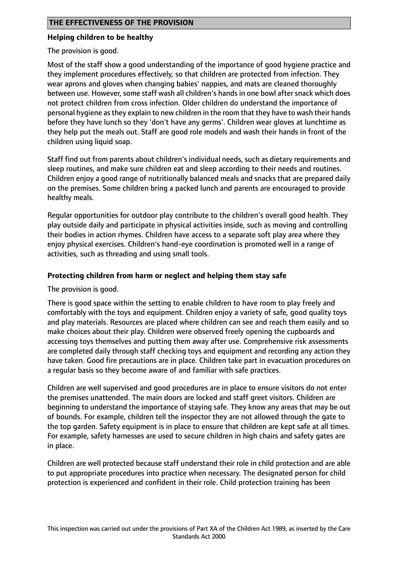## **Helping children to be healthy**

The provision is good.

Most of the staff show a good understanding of the importance of good hygiene practice and they implement procedures effectively, so that children are protected from infection. They wear aprons and gloves when changing babies' nappies, and mats are cleaned thoroughly between use. However, some staff wash all children's hands in one bowl after snack which does not protect children from cross infection. Older children do understand the importance of personal hygiene asthey explain to new children in the room that they have to wash their hands before they have lunch so they 'don't have any germs'. Children wear gloves at lunchtime as they help put the meals out. Staff are good role models and wash their hands in front of the children using liquid soap.

Staff find out from parents about children's individual needs, such as dietary requirements and sleep routines, and make sure children eat and sleep according to their needs and routines. Children enjoy a good range of nutritionally balanced meals and snacks that are prepared daily on the premises. Some children bring a packed lunch and parents are encouraged to provide healthy meals.

Regular opportunities for outdoor play contribute to the children's overall good health. They play outside daily and participate in physical activities inside, such as moving and controlling their bodies in action rhymes. Children have access to a separate soft play area where they enjoy physical exercises. Children's hand-eye coordination is promoted well in a range of activities, such as threading and using small tools.

## **Protecting children from harm or neglect and helping them stay safe**

The provision is good.

There is good space within the setting to enable children to have room to play freely and comfortably with the toys and equipment. Children enjoy a variety of safe, good quality toys and play materials. Resources are placed where children can see and reach them easily and so make choices about their play. Children were observed freely opening the cupboards and accessing toys themselves and putting them away after use. Comprehensive risk assessments are completed daily through staff checking toys and equipment and recording any action they have taken. Good fire precautions are in place. Children take part in evacuation procedures on a regular basis so they become aware of and familiar with safe practices.

Children are well supervised and good procedures are in place to ensure visitors do not enter the premises unattended. The main doors are locked and staff greet visitors. Children are beginning to understand the importance of staying safe. They know any areas that may be out of bounds. For example, children tell the inspector they are not allowed through the gate to the top garden. Safety equipment is in place to ensure that children are kept safe at all times. For example, safety harnesses are used to secure children in high chairs and safety gates are in place.

Children are well protected because staff understand their role in child protection and are able to put appropriate procedures into practice when necessary. The designated person for child protection is experienced and confident in their role. Child protection training has been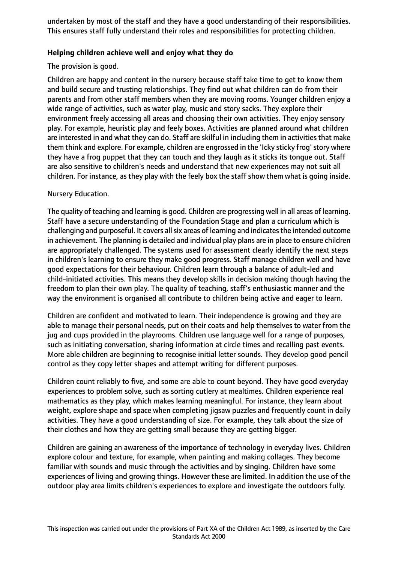undertaken by most of the staff and they have a good understanding of their responsibilities. This ensures staff fully understand their roles and responsibilities for protecting children.

## **Helping children achieve well and enjoy what they do**

The provision is good.

Children are happy and content in the nursery because staff take time to get to know them and build secure and trusting relationships. They find out what children can do from their parents and from other staff members when they are moving rooms. Younger children enjoy a wide range of activities, such as water play, music and story sacks. They explore their environment freely accessing all areas and choosing their own activities. They enjoy sensory play. For example, heuristic play and feely boxes. Activities are planned around what children are interested in and what they can do. Staff are skilful in including them in activities that make them think and explore. For example, children are engrossed in the 'Icky sticky frog' story where they have a frog puppet that they can touch and they laugh as it sticks its tongue out. Staff are also sensitive to children's needs and understand that new experiences may not suit all children. For instance, as they play with the feely box the staff show them what is going inside.

Nursery Education.

The quality of teaching and learning is good. Children are progressing well in all areas of learning. Staff have a secure understanding of the Foundation Stage and plan a curriculum which is challenging and purposeful. It covers all six areas of learning and indicates the intended outcome in achievement. The planning is detailed and individual play plans are in place to ensure children are appropriately challenged. The systems used for assessment clearly identify the next steps in children's learning to ensure they make good progress. Staff manage children well and have good expectations for their behaviour. Children learn through a balance of adult-led and child-initiated activities. This means they develop skills in decision making though having the freedom to plan their own play. The quality of teaching, staff's enthusiastic manner and the way the environment is organised all contribute to children being active and eager to learn.

Children are confident and motivated to learn. Their independence is growing and they are able to manage their personal needs, put on their coats and help themselves to water from the jug and cups provided in the playrooms. Children use language well for a range of purposes, such as initiating conversation, sharing information at circle times and recalling past events. More able children are beginning to recognise initial letter sounds. They develop good pencil control as they copy letter shapes and attempt writing for different purposes.

Children count reliably to five, and some are able to count beyond. They have good everyday experiences to problem solve, such as sorting cutlery at mealtimes. Children experience real mathematics as they play, which makes learning meaningful. For instance, they learn about weight, explore shape and space when completing jigsaw puzzles and frequently count in daily activities. They have a good understanding of size. For example, they talk about the size of their clothes and how they are getting small because they are getting bigger.

Children are gaining an awareness of the importance of technology in everyday lives. Children explore colour and texture, for example, when painting and making collages. They become familiar with sounds and music through the activities and by singing. Children have some experiences of living and growing things. However these are limited. In addition the use of the outdoor play area limits children's experiences to explore and investigate the outdoors fully.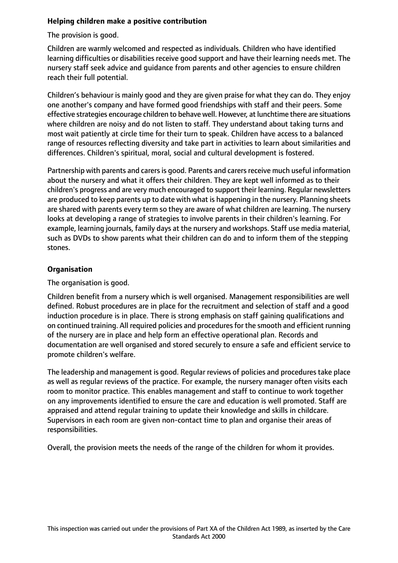## **Helping children make a positive contribution**

The provision is good.

Children are warmly welcomed and respected as individuals. Children who have identified learning difficulties or disabilities receive good support and have their learning needs met. The nursery staff seek advice and guidance from parents and other agencies to ensure children reach their full potential.

Children's behaviour is mainly good and they are given praise for what they can do. They enjoy one another's company and have formed good friendships with staff and their peers. Some effective strategies encourage children to behave well. However, at lunchtime there are situations where children are noisy and do not listen to staff. They understand about taking turns and most wait patiently at circle time for their turn to speak. Children have access to a balanced range of resources reflecting diversity and take part in activities to learn about similarities and differences. Children's spiritual, moral, social and cultural development is fostered.

Partnership with parents and carers is good. Parents and carers receive much useful information about the nursery and what it offers their children. They are kept well informed as to their children's progress and are very much encouraged to support their learning. Regular newsletters are produced to keep parents up to date with what is happening in the nursery. Planning sheets are shared with parents every term so they are aware of what children are learning. The nursery looks at developing a range of strategies to involve parents in their children's learning. For example, learning journals, family days at the nursery and workshops. Staff use media material, such as DVDs to show parents what their children can do and to inform them of the stepping stones.

# **Organisation**

The organisation is good.

Children benefit from a nursery which is well organised. Management responsibilities are well defined. Robust procedures are in place for the recruitment and selection of staff and a good induction procedure is in place. There is strong emphasis on staff gaining qualifications and on continued training. All required policies and procedures for the smooth and efficient running of the nursery are in place and help form an effective operational plan. Records and documentation are well organised and stored securely to ensure a safe and efficient service to promote children's welfare.

The leadership and management is good. Regular reviews of policies and procedures take place as well as regular reviews of the practice. For example, the nursery manager often visits each room to monitor practice. This enables management and staff to continue to work together on any improvements identified to ensure the care and education is well promoted. Staff are appraised and attend regular training to update their knowledge and skills in childcare. Supervisors in each room are given non-contact time to plan and organise their areas of responsibilities.

Overall, the provision meets the needs of the range of the children for whom it provides.